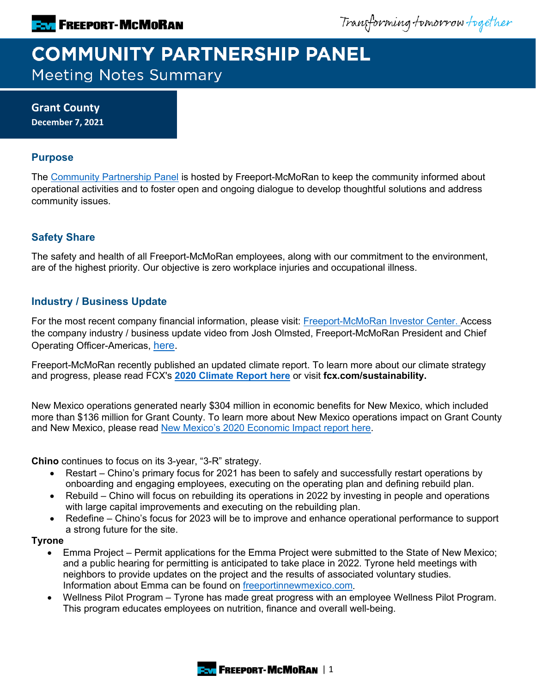Transforming tomorrow together

# **COMMUNITY PARTNERSHIP PANEL Meeting Notes Summary**

**Grant County December 7, 2021**

## **Purpose**

The [Community Partnership Panel](https://www.freeportinmycommunity.com/stakeholders/stakeholder-engagement-) is hosted by Freeport-McMoRan to keep the community informed about operational activities and to foster open and ongoing dialogue to develop thoughtful solutions and address community issues.

## **Safety Share**

The safety and health of all Freeport-McMoRan employees, along with our commitment to the environment, are of the highest priority. Our objective is zero workplace injuries and occupational illness.

## **Industry / Business Update**

For the most recent company financial information, please visit: [Freeport-McMoRan Investor Center.](http://investors.fcx.com/investors/default.aspx) Access the company industry / business update video from Josh Olmsted, Freeport-McMoRan President and Chief Operating Officer-Americas, [here.](https://youtu.be/cCXXaE3grIo)

Freeport-McMoRan recently published an updated climate report. To learn more about our climate strategy and progress, please read FCX's **[2020 Climate Report here](https://www.fcx.com/sites/fcx/files/documents/sustainability/2020-Climate-Report.pdf)** or visit **fcx.com/sustainability.**

New Mexico operations generated nearly \$304 million in economic benefits for New Mexico, which included more than \$136 million for Grant County. To learn more about New Mexico operations impact on Grant County and New Mexico, please read New Mexico's 2020 [Economic Impact report here.](https://fcx.com/sites/fcx/files/documents/fast_facts/new-mexico.pdf)

**Chino** continues to focus on its 3-year, "3-R" strategy.

- Restart Chino's primary focus for 2021 has been to safely and successfully restart operations by onboarding and engaging employees, executing on the operating plan and defining rebuild plan.
- Rebuild Chino will focus on rebuilding its operations in 2022 by investing in people and operations with large capital improvements and executing on the rebuilding plan.
- Redefine Chino's focus for 2023 will be to improve and enhance operational performance to support a strong future for the site.

#### **Tyrone**

- Emma Project Permit applications for the Emma Project were submitted to the State of New Mexico; and a public hearing for permitting is anticipated to take place in 2022. Tyrone held meetings with neighbors to provide updates on the project and the results of associated voluntary studies. Information about Emma can be found on [freeportinnewmexico.com.](https://freeportinnewmexico.com/community/emmaproject/)
- Wellness Pilot Program Tyrone has made great progress with an employee Wellness Pilot Program. This program educates employees on nutrition, finance and overall well-being.

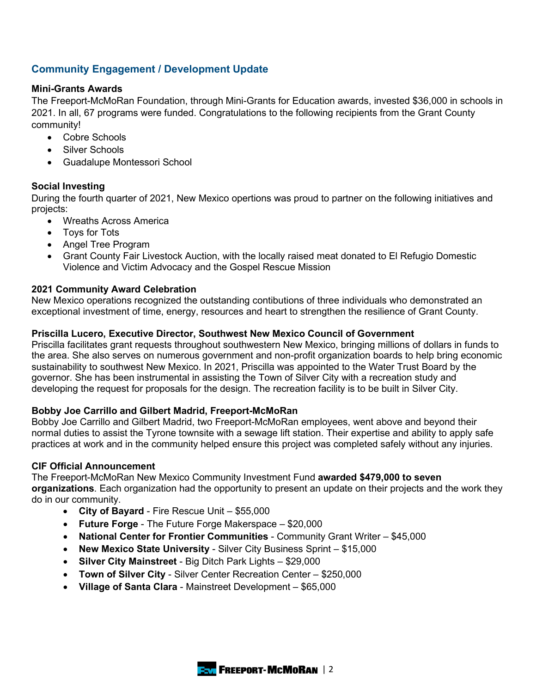## **Community Engagement / Development Update**

#### **Mini-Grants Awards**

The Freeport-McMoRan Foundation, through Mini-Grants for Education awards, invested \$36,000 in schools in 2021. In all, 67 programs were funded. Congratulations to the following recipients from the Grant County community!

- Cobre Schools
- Silver Schools
- Guadalupe Montessori School

## **Social Investing**

During the fourth quarter of 2021, New Mexico opertions was proud to partner on the following initiatives and projects:

- Wreaths Across America
- Toys for Tots
- Angel Tree Program
- Grant County Fair Livestock Auction, with the locally raised meat donated to El Refugio Domestic Violence and Victim Advocacy and the Gospel Rescue Mission

## **2021 Community Award Celebration**

New Mexico operations recognized the outstanding contibutions of three individuals who demonstrated an exceptional investment of time, energy, resources and heart to strengthen the resilience of Grant County.

#### **Priscilla Lucero, Executive Director, Southwest New Mexico Council of Government**

Priscilla facilitates grant requests throughout southwestern New Mexico, bringing millions of dollars in funds to the area. She also serves on numerous government and non-profit organization boards to help bring economic sustainability to southwest New Mexico. In 2021, Priscilla was appointed to the Water Trust Board by the governor. She has been instrumental in assisting the Town of Silver City with a recreation study and developing the request for proposals for the design. The recreation facility is to be built in Silver City.

## **Bobby Joe Carrillo and Gilbert Madrid, Freeport-McMoRan**

Bobby Joe Carrillo and Gilbert Madrid, two Freeport-McMoRan employees, went above and beyond their normal duties to assist the Tyrone townsite with a sewage lift station. Their expertise and ability to apply safe practices at work and in the community helped ensure this project was completed safely without any injuries.

#### **CIF Official Announcement**

The Freeport-McMoRan New Mexico Community Investment Fund **awarded \$479,000 to seven organizations**. Each organization had the opportunity to present an update on their projects and the work they do in our community.

- **City of Bayard** Fire Rescue Unit \$55,000
- **Future Forge** The Future Forge Makerspace \$20,000
- **National Center for Frontier Communities** Community Grant Writer \$45,000
- **New Mexico State University** Silver City Business Sprint \$15,000
- **Silver City Mainstreet** Big Ditch Park Lights \$29,000
- **Town of Silver City** Silver Center Recreation Center \$250,000
- **Village of Santa Clara** Mainstreet Development \$65,000